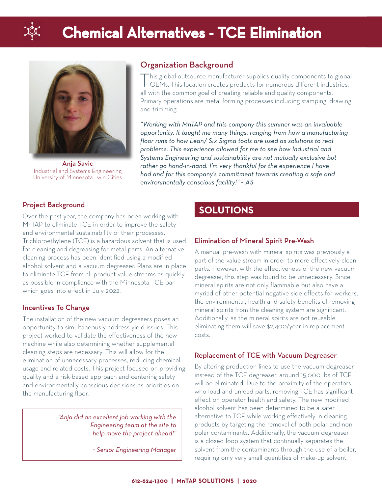

# **Chemical Alternatives - TCE Elimination**



Anja Savic Industrial and Systems Engineering University of Minnesota Twin Cities

# Organization Background

 $\Gamma$ his global outsource manufacturer supplies quality components to global OEMs. This location creates products for numerous different industries, all with the common goal of creating reliable and quality components. Primary operations are metal forming processes including stamping, drawing, and trimming.

*"Working with MnTAP and this company this summer was an invaluable opportunity. It taught me many things, ranging from how a manufacturing floor runs to how Lean/ Six Sigma tools are used as solutions to real problems. This experience allowed for me to see how Industrial and Systems Engineering and sustainability are not mutually exclusive but rather go hand-in-hand. I'm very thankful for the experience I have had and for this company's commitment towards creating a safe and environmentally conscious facility!" ~ AS*

#### Project Background

Over the past year, the company has been working with MnTAP to eliminate TCE in order to improve the safety and environmental sustainability of their processes. Trichloroethylene (TCE) is a hazardous solvent that is used for cleaning and degreasing for metal parts. An alternative cleaning process has been identified using a modified alcohol solvent and a vacuum degreaser. Plans are in place to eliminate TCE from all product value streams as quickly as possible in compliance with the Minnesota TCE ban which goes into effect in July 2022.

#### Incentives To Change

The installation of the new vacuum degreasers poses an opportunity to simultaneously address yield issues. This project worked to validate the effectiveness of the new machine while also determining whether supplemental cleaning steps are necessary. This will allow for the elimination of unnecessary processes, reducing chemical usage and related costs. This project focused on providing quality and a risk-based approach and centering safety and environmentally conscious decisions as priorities on the manufacturing floor.

> *"Anja did an excellent job working with the Engineering team at the site to help move the project ahead!"*

> > *~ Senior Engineering Manager*

# **SOLUTIONS**

#### Elimination of Mineral Spirit Pre-Wash

A manual pre-wash with mineral spirits was previously a part of the value stream in order to more effectively clean parts. However, with the effectiveness of the new vacuum degreaser, this step was found to be unnecessary. Since mineral spirits are not only flammable but also have a myriad of other potential negative side effects for workers, the environmental, health and safety benefits of removing mineral spirits from the cleaning system are significant. Additionally, as the mineral spirits are not reusable, eliminating them will save \$2,400/year in replacement costs.

#### Replacement of TCE with Vacuum Degreaser

By altering production lines to use the vacuum degreaser instead of the TCE degreaser, around 15,000 lbs of TCE will be eliminated. Due to the proximity of the operators who load and unload parts, removing TCE has significant effect on operator health and safety. The new modified alcohol solvent has been determined to be a safer alternative to TCE while working effectively in cleaning products by targeting the removal of both polar and nonpolar contaminants. Additionally, the vacuum degreaser is a closed loop system that continually separates the solvent from the contaminants through the use of a boiler, requiring only very small quantities of make-up solvent.